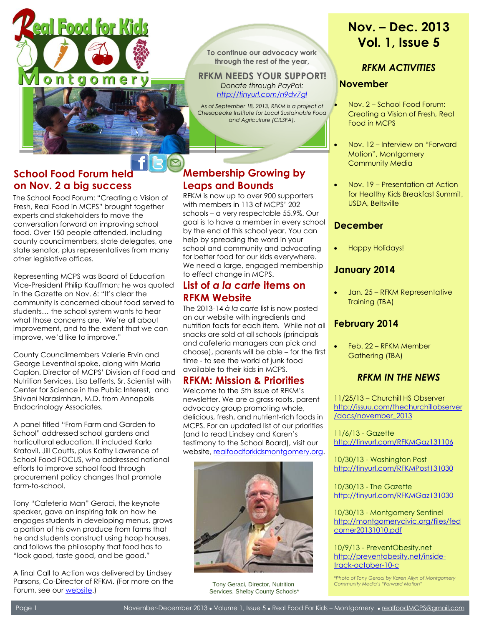

# **School Food Forum hel[d](https://www.facebook.com/RealFoodForKidsMontgomery)  on Nov. 2 a big success**

Ī

The School Food Forum: "Creating a Vision of Fresh, Real Food in MCPS" brought together experts and stakeholders to move the conversation forward on improving school food. Over 150 people attended, including county councilmembers, state delegates, one state senator, plus representatives from many other legislative offices.

Representing MCPS was Board of Education Vice-President Philip Kauffman; he was quoted in the Gazette on Nov. 6: "It's clear the community is concerned about food served to students… the school system wants to hear what those concerns are. We're all about improvement, and to the extent that we can improve, we'd like to improve."

County Councilmembers Valerie Ervin and George Leventhal spoke, along with Marla Caplon, Director of MCPS' Division of Food and Nutrition Services, Lisa Lefferts, Sr. Scientist with Center for Science in the Public Interest, and Shivani Narasimhan, M.D. from Annapolis Endocrinology Associates.

A panel titled "From Farm and Garden to School" addressed school gardens and horticultural education. It included Karla Kratovil, Jill Coutts, plus Kathy Lawrence of School Food FOCUS, who addressed national efforts to improve school food through procurement policy changes that promote farm-to-school.

Tony "Cafeteria Man" Geraci, the keynote speaker, gave an inspiring talk on how he engages students in developing menus, grows a portion of his own produce from farms that he and students construct using hoop houses, and follows the philosophy that food has to "look good, taste good, and be good."

A final Call to Action was delivered by Lindsey Parsons, Co-Director of RFKM. (For more on the Forum, see our [website.](http://www.realfoodforkidsmontgomery.org/))

**To continue our advocacy work through the rest of the year,**

**RFKM NEEDS YOUR SUPPORT!** *Donate through PayPal: <http://tinyurl.com/n9dv7gl>*

*As of September 18, 2013, RFKM is a project of Chesapeake Institute for Local Sustainable Food and Agriculture (CILSFA).* 

# **[M](mailto:realfoodmcps@gmail.com)embership Growing by Leaps and Bounds**

RFKM is now up to over 900 supporters with members in 113 of MCPS' 202 schools – a very respectable 55.9%. Our goal is to have a member in every school by the end of this school year. You can help by spreading the word in your school and community and advocating for better food for our kids everywhere. We need a large, engaged membership to effect change in MCPS.

### **List of** *a la carte* **items on RFKM Website**

The 2013-14 *à la carte* list is now posted on our website with ingredients and nutrition facts for each item. While not all snacks are sold at all schools (principals and cafeteria managers can pick and choose), parents will be able – for the first time - to see the world of junk food available to their kids in MCPS.

## **RFKM: Mission & Priorities**

Welcome to the 5th issue of RFKM's newsletter. We are a grass-roots, parent advocacy group promoting whole, delicious, fresh, and nutrient-rich foods in MCPS. For an updated list of our priorities (and to read Lindsey and Karen's testimony to the School Board), visit our website, [realfoodforkidsmontgomery.org.](http://www.realfoodforkidsmontgomery.org/)



Tony Geraci, Director, Nutrition Services, Shelby County Schools\*

# **Nov. – Dec. 2013 Vol. 1, Issue 5**

### *RFKM ACTIVITIES*

#### **November**

- Nov. 2 School Food Forum: Creating a Vision of Fresh, Real Food in MCPS
- Nov. 12 Interview on "Forward Motion", Montgomery Community Media
- Nov. 19 Presentation at Action for Healthy Kids Breakfast Summit, USDA, Beltsville

### **December**

Happy Holidays!

# **January 2014**

 Jan. 25 – RFKM Representative Training (TBA)

## **February 2014**

 Feb. 22 – RFKM Member Gathering (TBA)

# *RFKM IN THE NEWS*

11/25/13 – Churchill HS Observer [http://issuu.com/thechurchillobserver](http://issuu.com/thechurchillobserver/docs/november_2013) [/docs/november\\_2013](http://issuu.com/thechurchillobserver/docs/november_2013)

11/6/13 - Gazette <http://tinyurl.com/RFKMGaz131106>

10/30/13 - Washington Post <http://tinyurl.com/RFKMPost131030>

10/30/13 - The Gazette <http://tinyurl.com/RFKMGaz131030>

10/30/13 - Montgomery Sentinel [http://montgomerycivic.org/files/fed](http://montgomerycivic.org/files/fedcorner20131010.pdf) [corner20131010.pdf](http://montgomerycivic.org/files/fedcorner20131010.pdf)

10/9/13 - PreventObesity.net [http://preventobesity.net/inside](http://preventobesity.net/inside-track-october-10-c)[track-october-10-c](http://preventobesity.net/inside-track-october-10-c)

*\*Photo of Tony Geraci by Karen Allyn of Montgomery Community Media's "Forward Motion"*